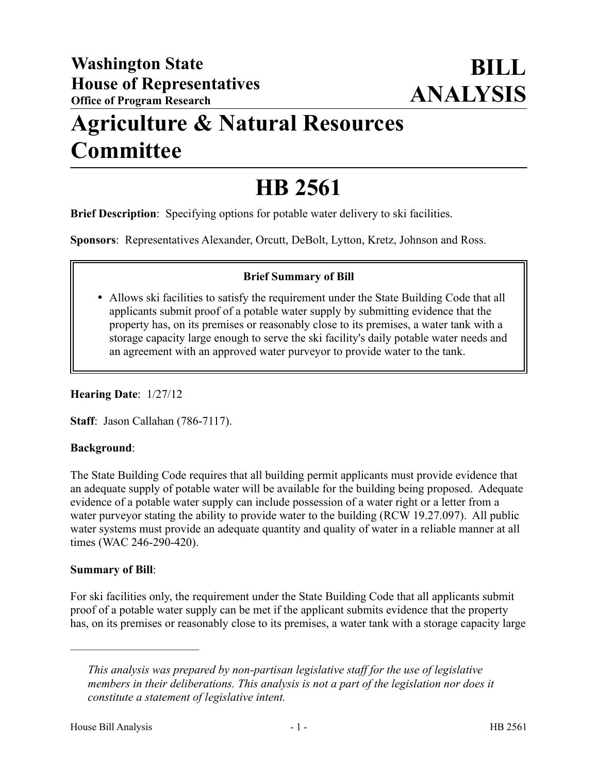## **Agriculture & Natural Resources Committee**

# **HB 2561**

**Brief Description**: Specifying options for potable water delivery to ski facilities.

**Sponsors**: Representatives Alexander, Orcutt, DeBolt, Lytton, Kretz, Johnson and Ross.

### **Brief Summary of Bill**

 Allows ski facilities to satisfy the requirement under the State Building Code that all applicants submit proof of a potable water supply by submitting evidence that the property has, on its premises or reasonably close to its premises, a water tank with a storage capacity large enough to serve the ski facility's daily potable water needs and an agreement with an approved water purveyor to provide water to the tank.

**Hearing Date**: 1/27/12

**Staff**: Jason Callahan (786-7117).

### **Background**:

The State Building Code requires that all building permit applicants must provide evidence that an adequate supply of potable water will be available for the building being proposed. Adequate evidence of a potable water supply can include possession of a water right or a letter from a water purveyor stating the ability to provide water to the building (RCW 19.27.097). All public water systems must provide an adequate quantity and quality of water in a reliable manner at all times (WAC 246-290-420).

#### **Summary of Bill**:

––––––––––––––––––––––

For ski facilities only, the requirement under the State Building Code that all applicants submit proof of a potable water supply can be met if the applicant submits evidence that the property has, on its premises or reasonably close to its premises, a water tank with a storage capacity large

*This analysis was prepared by non-partisan legislative staff for the use of legislative members in their deliberations. This analysis is not a part of the legislation nor does it constitute a statement of legislative intent.*